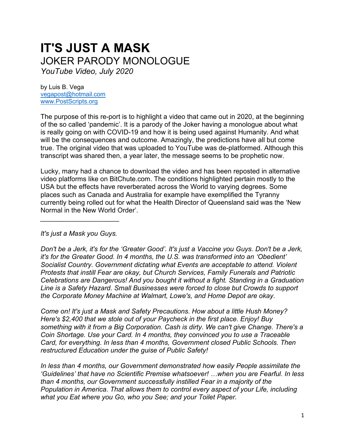## **IT'S JUST A MASK**  JOKER PARODY MONOLOGUE

*YouTube Video, July 2020* 

by Luis B. Vega [vegapost@hotmail.com](mailto:vegapost@hotmail.com) [www.PostScripts.org](http://www.postscripts.org/)

The purpose of this re-port is to highlight a video that came out in 2020, at the beginning of the so called 'pandemic'. It is a parody of the Joker having a monologue about what is really going on with COVID-19 and how it is being used against Humanity. And what will be the consequences and outcome. Amazingly, the predictions have all but come true. The original video that was uploaded to YouTube was de-platformed. Although this transcript was shared then, a year later, the message seems to be prophetic now.

Lucky, many had a chance to download the video and has been reposted in alternative video platforms like on BitChute.com. The conditions highlighted pertain mostly to the USA but the effects have reverberated across the World to varying degrees. Some places such as Canada and Australia for example have exemplified the Tyranny currently being rolled out for what the Health Director of Queensland said was the 'New Normal in the New World Order'.

*It's just a Mask you Guys.* 

*\_\_\_\_\_\_\_\_\_\_\_\_\_\_\_\_\_\_\_\_\_*

*Don't be a Jerk, it's for the 'Greater Good'. It's just a Vaccine you Guys. Don't be a Jerk, it's for the Greater Good. In 4 months, the U.S. was transformed into an 'Obedient' Socialist Country. Government dictating what Events are acceptable to attend. Violent Protests that instill Fear are okay, but Church Services, Family Funerals and Patriotic Celebrations are Dangerous! And you bought it without a fight. Standing in a Graduation Line is a Safety Hazard. Small Businesses were forced to close but Crowds to support the Corporate Money Machine at Walmart, Lowe's, and Home Depot are okay.* 

*Come on! It's just a Mask and Safety Precautions. How about a little Hush Money? Here's \$2,400 that we stole out of your Paycheck in the first place. Enjoy! Buy something with it from a Big Corporation. Cash is dirty. We can't give Change. There's a Coin Shortage. Use your Card. In 4 months, they convinced you to use a Traceable Card, for everything. In less than 4 months, Government closed Public Schools. Then restructured Education under the guise of Public Safety!* 

*In less than 4 months, our Government demonstrated how easily People assimilate the 'Guidelines' that have no Scientific Premise whatsoever! …when you are Fearful. In less than 4 months, our Government successfully instilled Fear in a majority of the Population in America. That allows them to control every aspect of your Life, including what you Eat where you Go, who you See; and your Toilet Paper.*